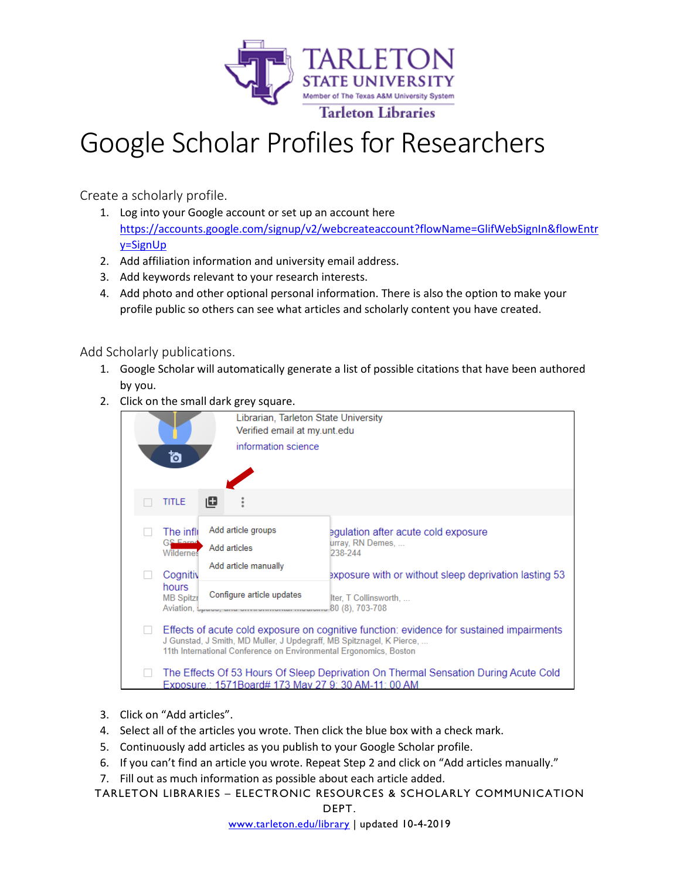

## Google Scholar Profiles for Researchers

Create a scholarly profile.

- 1. Log into your Google account or set up an account here [https://accounts.google.com/signup/v2/webcreateaccount?flowName=GlifWebSignIn&flowEntr](https://accounts.google.com/signup/v2/webcreateaccount?flowName=GlifWebSignIn&flowEntry=SignUp) [y=SignUp](https://accounts.google.com/signup/v2/webcreateaccount?flowName=GlifWebSignIn&flowEntry=SignUp)
- 2. Add affiliation information and university email address.
- 3. Add keywords relevant to your research interests.
- 4. Add photo and other optional personal information. There is also the option to make your profile public so others can see what articles and scholarly content you have created.

Add Scholarly publications.

- 1. Google Scholar will automatically generate a list of possible citations that have been authored by you.
- 2. Click on the small dark grey square.



- 3. Click on "Add articles".
- 4. Select all of the articles you wrote. Then click the blue box with a check mark.
- 5. Continuously add articles as you publish to your Google Scholar profile.
- 6. If you can't find an article you wrote. Repeat Step 2 and click on "Add articles manually."
- 7. Fill out as much information as possible about each article added.

TARLETON LIBRARIES – ELECTRONIC RESOURCES & SCHOLARLY COMMUNICATION